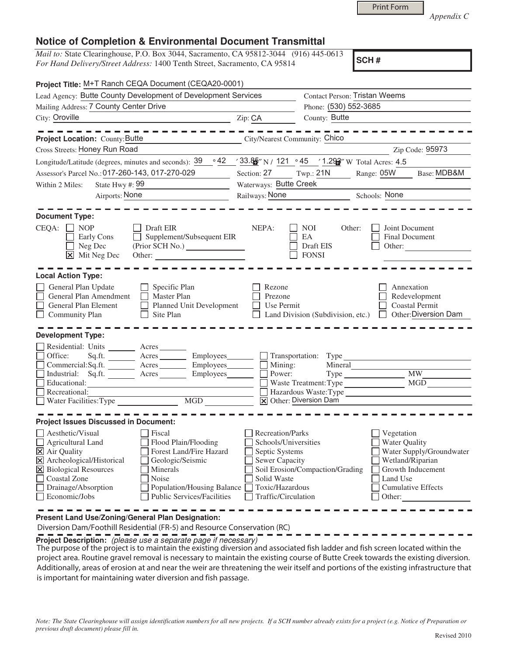|  | <b>Print Form</b> |
|--|-------------------|
|  |                   |

*Appendix C* 

## **Notice of Completion & Environmental Document Transmittal**

*Mail to:* State Clearinghouse, P.O. Box 3044, Sacramento, CA 95812-3044 (916) 445-0613 *For Hand Delivery/Street Address:* 1400 Tenth Street, Sacramento, CA 95814

**SCH #**

| Project Title: M+T Ranch CEQA Document (CEQA20-0001)                                                                                                                          |                                                                                                                                                                       |                                                                                                                                              |                                                                                                            |                                                                                                                         |                          |  |
|-------------------------------------------------------------------------------------------------------------------------------------------------------------------------------|-----------------------------------------------------------------------------------------------------------------------------------------------------------------------|----------------------------------------------------------------------------------------------------------------------------------------------|------------------------------------------------------------------------------------------------------------|-------------------------------------------------------------------------------------------------------------------------|--------------------------|--|
| Lead Agency: Butte County Development of Development Services                                                                                                                 |                                                                                                                                                                       |                                                                                                                                              |                                                                                                            | <b>Contact Person: Tristan Weems</b>                                                                                    |                          |  |
| Mailing Address: 7 County Center Drive                                                                                                                                        |                                                                                                                                                                       |                                                                                                                                              |                                                                                                            | Phone: (530) 552-3685                                                                                                   |                          |  |
| City: Oroville<br><u> 1989 - Johann Barbara, martxa alemaniar amerikan a</u>                                                                                                  |                                                                                                                                                                       | Zip: CA                                                                                                                                      | County: Butte                                                                                              |                                                                                                                         |                          |  |
|                                                                                                                                                                               |                                                                                                                                                                       |                                                                                                                                              |                                                                                                            |                                                                                                                         |                          |  |
| Project Location: County: Butte                                                                                                                                               | City/Nearest Community: Chico                                                                                                                                         |                                                                                                                                              |                                                                                                            |                                                                                                                         |                          |  |
| Cross Streets: Honey Run Road                                                                                                                                                 |                                                                                                                                                                       |                                                                                                                                              |                                                                                                            |                                                                                                                         | Zip Code: 95973          |  |
| Longitude/Latitude (degrees, minutes and seconds): 39                                                                                                                         | $\circ$ 42                                                                                                                                                            |                                                                                                                                              | $\frac{33.86}{2}$ " N / 121 $\cdot$ 45 $\cdot$ 1.2 $\frac{120}{2}$ " W Total Acres: 4.5                    |                                                                                                                         |                          |  |
| Assessor's Parcel No.: 017-260-143, 017-270-029                                                                                                                               |                                                                                                                                                                       | Section: 27                                                                                                                                  | Twp.: 21N                                                                                                  | Range: 05W                                                                                                              | Base: MDB&M              |  |
| State Hwy #: 99<br>Within 2 Miles:                                                                                                                                            |                                                                                                                                                                       | Waterways: Butte Creek                                                                                                                       |                                                                                                            |                                                                                                                         |                          |  |
| Airports: None                                                                                                                                                                |                                                                                                                                                                       | Railways: None<br>Schools: None                                                                                                              |                                                                                                            |                                                                                                                         |                          |  |
| <u> 1989 - Andrea Maria Barbara, poeta espa</u>                                                                                                                               |                                                                                                                                                                       |                                                                                                                                              |                                                                                                            |                                                                                                                         |                          |  |
| <b>Document Type:</b>                                                                                                                                                         |                                                                                                                                                                       |                                                                                                                                              |                                                                                                            |                                                                                                                         |                          |  |
| CEQA:<br>$\Box$ NOP<br>Early Cons<br>Neg Dec<br>$\overline{\mathsf{x}}$ Mit Neg Dec                                                                                           | Draft EIR<br>Supplement/Subsequent EIR<br>$\Box$<br>Other:                                                                                                            | NEPA:                                                                                                                                        | <b>NOI</b><br>Other:<br>EA<br>Draft EIS<br><b>FONSI</b>                                                    | Joint Document<br><b>Final Document</b><br>Other:                                                                       |                          |  |
| <b>Local Action Type:</b>                                                                                                                                                     |                                                                                                                                                                       |                                                                                                                                              |                                                                                                            |                                                                                                                         |                          |  |
| General Plan Update<br>General Plan Amendment<br>General Plan Element<br>Community Plan                                                                                       | Specific Plan<br><b>Master Plan</b><br>П<br>Planned Unit Development<br>Site Plan                                                                                     | Rezone<br>Prezone<br>Use Permit                                                                                                              | Land Division (Subdivision, etc.)                                                                          | Annexation<br>Redevelopment<br><b>Coastal Permit</b>                                                                    | Other: Diversion Dam     |  |
| <b>Development Type:</b>                                                                                                                                                      |                                                                                                                                                                       |                                                                                                                                              |                                                                                                            |                                                                                                                         |                          |  |
| Residential: Units ________ Acres _______<br>$\Box$ Office:<br>Educational:<br>Recreational:<br>$\Box$ Water Facilities: Type                                                 | Sq.ft. _________ Acres __________ Employees________<br>Commercial:Sq.ft. <u>Acres</u> Acres Employees<br>Industrial: Sq.ft. Acres Employees<br>$\overline{MGD}$       | $\Box$ Mining:<br>Power:                                                                                                                     | Transportation: Type<br>Mineral<br>Waste Treatment: Type<br>Hazardous Waste:Type<br>X Other: Diversion Dam | $\overline{\text{MW}}$                                                                                                  | MGD                      |  |
| <b>Project Issues Discussed in Document:</b>                                                                                                                                  |                                                                                                                                                                       |                                                                                                                                              |                                                                                                            |                                                                                                                         |                          |  |
| Aesthetic/Visual<br>Agricultural Land<br>X Air Quality<br>X Archeological/Historical<br>X Biological Resources<br><b>Coastal Zone</b><br>Drainage/Absorption<br>Economic/Jobs | Fiscal<br>Flood Plain/Flooding<br>Forest Land/Fire Hazard<br>Geologic/Seismic<br>Minerals<br>Noise<br>Population/Housing Balance<br><b>Public Services/Facilities</b> | Recreation/Parks<br>Schools/Universities<br>Septic Systems<br><b>Sewer Capacity</b><br>Solid Waste<br>Toxic/Hazardous<br>Traffic/Circulation | Soil Erosion/Compaction/Grading                                                                            | Vegetation<br>Water Quality<br>Wetland/Riparian<br>Growth Inducement<br>Land Use<br><b>Cumulative Effects</b><br>Other: | Water Supply/Groundwater |  |
| Present Land Use/Zoning/General Plan Designation:                                                                                                                             |                                                                                                                                                                       |                                                                                                                                              |                                                                                                            |                                                                                                                         |                          |  |

Diversion Dam/Foothill Residential (FR-5) and Resource Conservation (RC)

**Project Description:** (please use a separate page if necessary)

 The purpose of the project is to maintain the existing diversion and associated fish ladder and fish screen located within the project area. Routine gravel removal is necessary to maintain the existing course of Butte Creek towards the existing diversion. Additionally, areas of erosion at and near the weir are threatening the weir itself and portions of the existing infrastructure that is important for maintaining water diversion and fish passage.